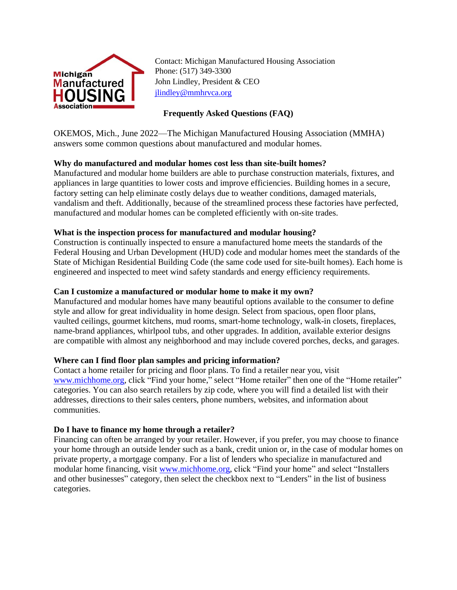

Contact: Michigan Manufactured Housing Association Phone: (517) 349-3300 John Lindley, President & CEO [jlindley@mmhrvca.org](mailto:jlindley@mmhrvca.org)

# **Frequently Asked Questions (FAQ)**

OKEMOS, Mich., June 2022—The Michigan Manufactured Housing Association (MMHA) answers some common questions about manufactured and modular homes.

# **Why do manufactured and modular homes cost less than site-built homes?**

Manufactured and modular home builders are able to purchase construction materials, fixtures, and appliances in large quantities to lower costs and improve efficiencies. Building homes in a secure, factory setting can help eliminate costly delays due to weather conditions, damaged materials, vandalism and theft. Additionally, because of the streamlined process these factories have perfected, manufactured and modular homes can be completed efficiently with on-site trades.

# **What is the inspection process for manufactured and modular housing?**

Construction is continually inspected to ensure a manufactured home meets the standards of the Federal Housing and Urban Development (HUD) code and modular homes meet the standards of the State of Michigan Residential Building Code (the same code used for site-built homes). Each home is engineered and inspected to meet wind safety standards and energy efficiency requirements.

## **Can I customize a manufactured or modular home to make it my own?**

Manufactured and modular homes have many beautiful options available to the consumer to define style and allow for great individuality in home design. Select from spacious, open floor plans, vaulted ceilings, gourmet kitchens, mud rooms, smart-home technology, walk-in closets, fireplaces, name-brand appliances, whirlpool tubs, and other upgrades. In addition, available exterior designs are compatible with almost any neighborhood and may include covered porches, decks, and garages.

# **Where can I find floor plan samples and pricing information?**

Contact a home retailer for pricing and floor plans. To find a retailer near you, visit [www.michhome.org,](http://www.michhome.org/) click "Find your home," select "Home retailer" then one of the "Home retailer" categories. You can also search retailers by zip code, where you will find a detailed list with their addresses, directions to their sales centers, phone numbers, websites, and information about communities.

### **Do I have to finance my home through a retailer?**

Financing can often be arranged by your retailer. However, if you prefer, you may choose to finance your home through an outside lender such as a bank, credit union or, in the case of modular homes on private property, a mortgage company. For a list of lenders who specialize in manufactured and modular home financing, visit [www.michhome.org,](http://www.michhome.org/) click "Find your home" and select "Installers and other businesses" category, then select the checkbox next to "Lenders" in the list of business categories.